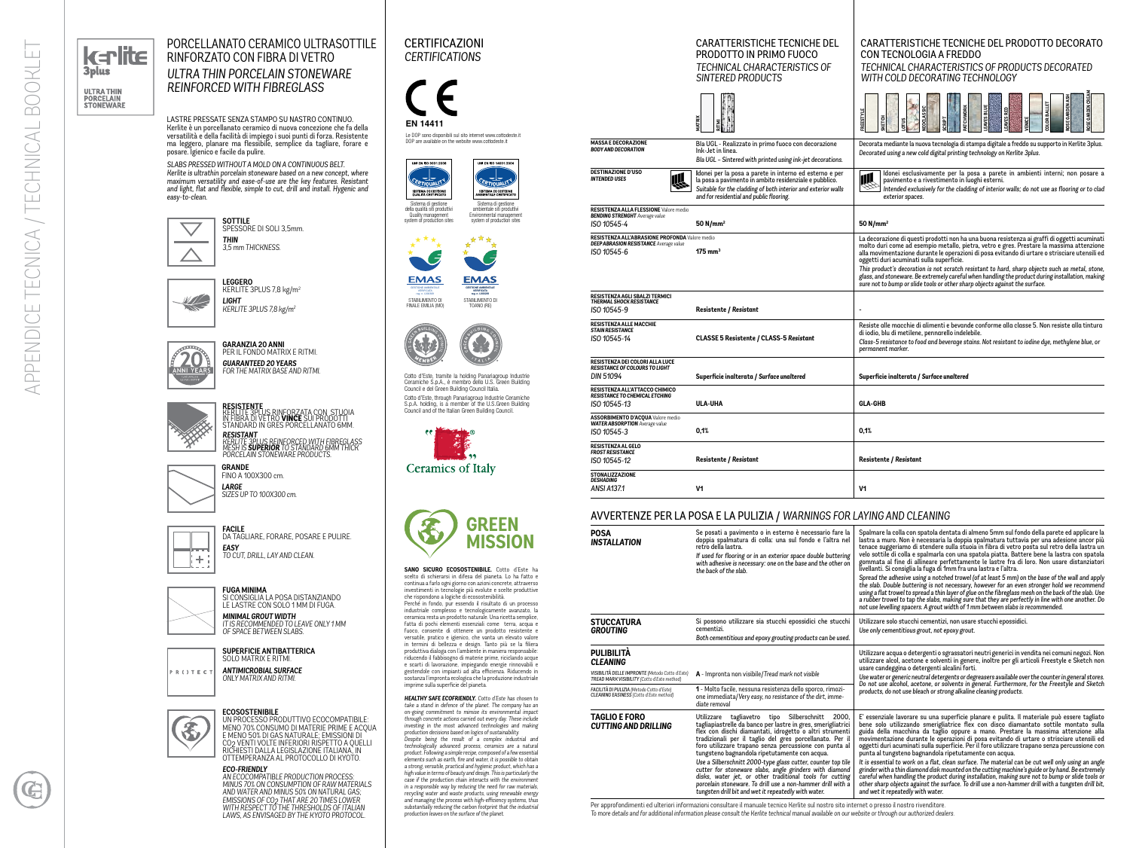

## **ULTRA THIN PORCELAIN**<br>STONEWARE

APPENDICE TECNICA / TECHNICAL BOOKLET

TECNICA

APPENDICE

TECHNICAL

்ப

**BOOKLE** 

## CERTIFICAZIONI *CERTIFICATIONS*

**EN 14411**

Sistema di gestione<br>della qualità siti produttiv Quality management system of production sites Sistema di gestione<br>imbientale siti produttiv Environmental management system of production sites



Le DOP sono disponibili sul sito internet www.cottodeste.it DOP are available on the website www.cottodeste.it



**EMAS EMAS** GESTIONE AMBIENTALE GESTIONE AMBIENTALE VERIFICATA reg. n. I-000239 **VERIFICATA** reg. n. I-000309 STABILIMENTO DI<br>TOANO (RE) FINALE EMILIA (MO)



Cotto d'Este, tramite la holding Panariagroup Industrie Ceramiche S.p.A., è membro dello U.S. Green Building Council e del Green Building Council Italia. Cotto d'Este, through Panariagroup Industrie Ceramiche S.p.A. holding, is a member of the U.S.Green Building Council and of the Italian Green Building Council.





**SANO SICURO ECOSOSTENIBILE.** Cotto d'Este ha scelto di schierarsi in difesa del pianeta. Lo ha fatto e continua a farlo ogni giorno con azioni concrete, attraverso investimenti in tecnologie più evolute e scelte produttive che rispondono a logiche di ecosostenibilità.

Perché in fondo, pur essendo il risultato di un processo industriale complesso e tecnologicamente avanzato, la ceramica resta un prodotto naturale. Una ricetta semplice, fatta di pochi elementi essenziali come terra, acqua e fuoco, consente di ottenere un prodotto resistente e versatile, pratico e igienico, che vanta un elevato valore in termini di bellezza e design. Tanto più se la filiera produttiva dialoga con l'ambiente in maniera responsabile: riducendo il fabbisogno di materie prime, riciclando acque e scarti di lavorazione, impiegando energie rinnovabili e gestendole con impianti ad alta efficienza. Riducendo in sostanza l'impronta ecologica che la produzione industriale imprime sulla superficie del pianeta.

*HEALTHY SAFE ECOFRIENDLY. Cotto d'Este has chosen to take a stand in defence of the planet. The company has an on-going commitment to mimise its environmental impact through concrete actions carried out every day. These include investing in the most advanced technologies and making production decisions based on logics of sustainability.*

### CARATTERISTICHE TECNICH PRODOTTO IN PRIMO FUOCO **TECHNICAL CHARACTERISTIC** *SINTERED PRODUCTS*

*Despite being the result of a complex industrial and technologically advanced process, ceramics are a natural product. Following a simple recipe, composed of a few essential elements such as earth, fire and water, it is possible to obtain a strong, versatile, practical and hygienic product, which has a high value in terms of beauty and design. This is particularly the case if the production chain interacts with the environment in a responsible way by reducing the need for raw materials, recycling water and waste products, using renewable energy and managing the process with high-efficiency systems, thus substantially reducing the carbon footprint that the industrial production leaves on the surface of the planet.*

LASTRE PRESSATE SENZA STAMPO SU NASTRO CONTINUO. Kerlite è un porcellanato ceramico di nuova concezione che fa della versatilità e della facilità di impiego i suoi punti di forza. Resistente ma leggero, planare ma flessibile, semplice da tagliare, forare e posare. Igienico e facile da pulire.

*SLABS PRESSED WITHOUT A MOLD ON A CONTINUOUS BELT. Kerlite is ultrathin porcelain stoneware based on a new concept, where maximum versatility and ease-of-use are the key features. Resistant*  and light, flat and flexible, simple to cut, drill and install. Hygenic and *easy-to-clean.*

PORCELLANATO CERAMICO ULTRASOTTILE RINFORZATO CON FIBRA DI VETRO *ULTRA THIN PORCELAIN STONEWARE REINFORCED WITH FIBREGLASS*



DA TAGLIARE, FORARE, POSARE E PULIRE. *EASY TO CUT, DRILL, LAY AND CLEAN.*

| <b>FUGA I</b><br>SI CON<br><b>IFIAS</b> |
|-----------------------------------------|
| <b>MINIM</b><br><b>IT IS RE</b>         |

**SUPERFICIE ANTIBATTERICA** SOLO MATRIX E RITMI. *ANTIMICROBIAL SURFACE ONLY MATRIX AND RITMI.*



R ( ) T E C

#### RICHIESTI DALLA LEGISLAZIONE ITALIANA, IN OTTEMPERANZA AL PROTOCOLLO DI KYOTO.

*ECO-FRIENDLY AN ECOCOMPATIBLE PRODUCTION PROCESS: MINUS 70% ON CONSUMPTION OF RAW MATERIALS AND WATER AND MINUS 50% ON NATURAL GAS; EMISSIONS OF CO2 THAT ARE 20 TIMES LOWER WITH RESPECT TO THE THRESHOLDS OF ITALIAN LAWS, AS ENVISAGED BY THE KYOTO PROTOCOL.*

| <b>CARATTERISTICHE TECNICHE DEL</b><br>PRODOTTO IN PRIMO FUOCO<br>TECHNICAL CHARACTERISTICS OF<br>SINTERED PRODUCTS                                                                                                            | CARATTERISTICHE TECNICHE DEL PRODOTTO DECORATO<br><b>CON TECNOLOGIA A FREDDO</b><br>TECHNICAL CHARACTERISTICS OF PRODUCTS DECORATED<br>WITH COLD DECORATING TECHNOLOGY                                                                                                                                                                                                                                                                                                                                                                                                                                                      |
|--------------------------------------------------------------------------------------------------------------------------------------------------------------------------------------------------------------------------------|-----------------------------------------------------------------------------------------------------------------------------------------------------------------------------------------------------------------------------------------------------------------------------------------------------------------------------------------------------------------------------------------------------------------------------------------------------------------------------------------------------------------------------------------------------------------------------------------------------------------------------|
| MATRIX                                                                                                                                                                                                                         | OSE GARDEN CREA<br>ROSE GARDEN ASI<br><b>OLOR BALLET</b><br>븳<br><b>CHWOR</b><br>EOCLASSIC<br>₽<br>REESTYLE<br>SKETCH<br><b>AVES</b><br><b>E3ME</b><br><b>ENICE</b><br>CRIPT                                                                                                                                                                                                                                                                                                                                                                                                                                                |
| Bla UGL - Realizzato in primo fuoco con decorazione<br>Ink-Jet in linea.<br>Bla UGL - Sintered with printed using ink-jet decorations.                                                                                         | Decorata mediante la nuova tecnologia di stampa digitale a freddo su supporto in Kerlite 3plus.<br>Decorated using a new cold digital printing technology on Kerlite 3plus.                                                                                                                                                                                                                                                                                                                                                                                                                                                 |
| Idonei per la posa a parete in interno ed esterno e per<br>la posa a pavimento in ambito residenziale e pubblico.<br>Suitable for the cladding of both interior and exterior walls<br>and for residential and public flooring. | Idonei esclusivamente per la posa a parete in ambienti interni; non posare a<br>11I<br>pavimento e a rivestimento in luoghi esterni.<br>Intended exclusively for the cladding of interior walls; do not use as flooring or to clad<br>exterior spaces.                                                                                                                                                                                                                                                                                                                                                                      |
| 50 N/mm <sup>2</sup>                                                                                                                                                                                                           | 50 $N/mm2$                                                                                                                                                                                                                                                                                                                                                                                                                                                                                                                                                                                                                  |
| re medio<br>175 mm $^3$                                                                                                                                                                                                        | La decorazione di questi prodotti non ha una buona resistenza ai graffi di oggetti acuminati<br>molto duri come ad esempio metallo, pietra, vetro e gres. Prestare la massima attenzione<br>alla movimentazione durante le operazioni di posa evitando di urtare o strisciare utensili ed<br>oggetti duri acuminati sulla superficie.<br>This product's decoration is not scratch resistant to hard, sharp objects such as metal, stone,<br>glass, and stoneware. Be extremely careful when handling the product during installation, making<br>sure not to bump or slide tools or other sharp objects against the surface. |
| Resistente / Resistant                                                                                                                                                                                                         |                                                                                                                                                                                                                                                                                                                                                                                                                                                                                                                                                                                                                             |
| CLASSE 5 Resistente / CLASS-5 Resistant                                                                                                                                                                                        | Resiste alle macchie di alimenti e bevande conforme alla classe 5. Non resiste alla tintura<br>di iodio, blu di metilene, pennarello indelebile.<br>Class-5 resistance to food and beverage stains. Not resistant to iodine dye, methylene blue, or<br>permanent marker.                                                                                                                                                                                                                                                                                                                                                    |
| Superficie inalterata / Surface unaltered                                                                                                                                                                                      | Superficie inalterata / Surface unaltered                                                                                                                                                                                                                                                                                                                                                                                                                                                                                                                                                                                   |
| ULA-UHA                                                                                                                                                                                                                        | <b>GLA-GHB</b>                                                                                                                                                                                                                                                                                                                                                                                                                                                                                                                                                                                                              |
| 0.1%                                                                                                                                                                                                                           | 0,1%                                                                                                                                                                                                                                                                                                                                                                                                                                                                                                                                                                                                                        |
| Resistente / Resistant                                                                                                                                                                                                         | <b>Resistente / Resistant</b>                                                                                                                                                                                                                                                                                                                                                                                                                                                                                                                                                                                               |
| V1                                                                                                                                                                                                                             | V1                                                                                                                                                                                                                                                                                                                                                                                                                                                                                                                                                                                                                          |

## **RESISTENTE** KERLITE 3PLUS RINFORZATA CON STUOIA IN FIBRA DI VETRO **VINCE** SUI PRODOTTI STANDARD IN GRES PORCELLANATO 6MM. *RESISTANT KERLITE 3PLUS REINFORCED WITH FIBREGLASS MESH IS SUPERIOR TO STANDARD 6MM THICK PORCELAIN STONEWARE PRODUCTS.*

**GRANDE** FINO A 100X300 cm. *LARGE SIZES UP TO 100X300 cm.*

> **FUGA MINIMA** SI CONSIGLIA LA POSA DISTANZIANDO LE LASTRE CON SOLO 1 MM DI FUGA. *MINIMAL GROUT WIDTH*

*IT IS RECOMMENDED TO LEAVE ONLY 1 MM OF SPACE BETWEEN SLABS.*



SPESSORE DI SOLI 3,5mm. *THIN 3,5 mm THICKNESS.*



**GARANZIA 20 ANNI EXPLORED** PER IL FONDO MATRIX E RITMI. *GUARANTEED 20 YEARS FOR THE MATRIX BASE AND RITMI.*



|                                                                                                                | SIN I EKEV PRUVUL I S                                                                                                                                                                                                          | VVI I H COLD DECORATII                                                                                                                                                                                                                                                     |
|----------------------------------------------------------------------------------------------------------------|--------------------------------------------------------------------------------------------------------------------------------------------------------------------------------------------------------------------------------|----------------------------------------------------------------------------------------------------------------------------------------------------------------------------------------------------------------------------------------------------------------------------|
|                                                                                                                | <b>ATRIX</b>                                                                                                                                                                                                                   | EOCLASSIC<br><b>REESTYLE</b><br>ажетсн<br><b>LaisS</b>                                                                                                                                                                                                                     |
| <b>MASSA E DECORAZIONE</b><br><b>BODY AND DECORATION</b>                                                       | Bla UGL - Realizzato in primo fuoco con decorazione<br>Ink-Jet in linea.<br>Bla UGL - Sintered with printed using ink-jet decorations.                                                                                         | Decorata mediante la nuova tecnolo<br>Decorated using a new cold digital p                                                                                                                                                                                                 |
| <b>DESTINAZIONE D'USO</b><br>Ш<br>INTENDED USES                                                                | Idonei per la posa a parete in interno ed esterno e per<br>la posa a pavimento in ambito residenziale e pubblico.<br>Suitable for the cladding of both interior and exterior walls<br>and for residential and public flooring. | Idonei esclusivamente p<br>11l<br>pavimento e a rivestimer<br>Intended exclusively for th<br>exterior spaces.                                                                                                                                                              |
| <b>RESISTENZA ALLA FLESSIONE Valore medio</b><br><b>BENDING STRENGHT</b> Average value                         |                                                                                                                                                                                                                                |                                                                                                                                                                                                                                                                            |
| ISO 10545-4                                                                                                    | 50 $N/mm2$                                                                                                                                                                                                                     | 50 N/mm <sup>2</sup>                                                                                                                                                                                                                                                       |
| RESISTENZA ALL'ABRASIONE PROFONDA Valore medio<br><b>DEEP ABRASION RESISTANCE</b> Average value<br>ISO 10545-6 | $175 \text{ mm}^3$                                                                                                                                                                                                             | La decorazione di questi prodotti ı<br>molto duri come ad esempio meta<br>alla movimentazione durante le op<br>oggetti duri acuminati sulla super<br>This product's decoration is not sci<br>glass, and stoneware. Be extremely o<br>sure not to bump or slide tools or ot |
| RESISTENZA AGLI SBALZI TERMICI<br>THERMAL SHOCK RESISTANCE                                                     |                                                                                                                                                                                                                                |                                                                                                                                                                                                                                                                            |
| ISO 10545-9                                                                                                    | Resistente / Resistant                                                                                                                                                                                                         |                                                                                                                                                                                                                                                                            |
| <b>RESISTENZA ALLE MACCHIE</b><br><b>STAIN RESISTANCE</b><br>ISO 10545-14                                      | CLASSE 5 Resistente / CLASS-5 Resistant                                                                                                                                                                                        | Resiste alle macchie di alimenti e<br>di iodio, blu di metilene, pennarell                                                                                                                                                                                                 |
|                                                                                                                |                                                                                                                                                                                                                                | Class-5 resistance to food and beve<br>permanent marker.                                                                                                                                                                                                                   |
| RESISTENZA DEI COLORI ALLA LUCE<br>RESISTANCE OF COLOURS TO LIGHT                                              |                                                                                                                                                                                                                                |                                                                                                                                                                                                                                                                            |
| DIN 51094                                                                                                      | Superficie inalterata / Surface unaltered                                                                                                                                                                                      | Superficie inalterata / Surface un                                                                                                                                                                                                                                         |
| RESISTENZA ALL'ATTACCO CHIMICO                                                                                 |                                                                                                                                                                                                                                |                                                                                                                                                                                                                                                                            |
| RESISTANCE TO CHEMICAL ETCHING<br>ISO 10545-13                                                                 | <b>ULA-UHA</b>                                                                                                                                                                                                                 | <b>GLA-GHB</b>                                                                                                                                                                                                                                                             |
| <b>ASSORBIMENTO D'ACQUA</b> Valore medio                                                                       |                                                                                                                                                                                                                                |                                                                                                                                                                                                                                                                            |
| <b>WATER ABSORPTION</b> Average value<br>ISO 10545-3                                                           | 0,1%                                                                                                                                                                                                                           | 0,1%                                                                                                                                                                                                                                                                       |
| RESISTENZA AL GELO                                                                                             |                                                                                                                                                                                                                                |                                                                                                                                                                                                                                                                            |
| <b>FROST RESISTANCE</b><br>ISO 10545-12                                                                        | <b>Resistente / Resistant</b>                                                                                                                                                                                                  | <b>Resistente / Resistant</b>                                                                                                                                                                                                                                              |
| <b>STONALIZZAZIONE</b>                                                                                         |                                                                                                                                                                                                                                |                                                                                                                                                                                                                                                                            |
| DESHADING                                                                                                      |                                                                                                                                                                                                                                |                                                                                                                                                                                                                                                                            |
| ANSI A137.1                                                                                                    | V1                                                                                                                                                                                                                             | V1                                                                                                                                                                                                                                                                         |
|                                                                                                                | AVVERTENZE PER LA POSA E LA PULIZIA / WARNINGS FOR LAYING AND CLEANING                                                                                                                                                         |                                                                                                                                                                                                                                                                            |
|                                                                                                                |                                                                                                                                                                                                                                |                                                                                                                                                                                                                                                                            |

| <b>POSA</b><br><b>INSTALLATION</b>                                                                                                     | Se posati a pavimento o in esterno è necessario fare la<br>doppia spalmatura di colla: una sul fondo e l'altra nel<br>retro della lastra.<br>If used for flooring or in an exterior space double buttering<br>with adhesive is necessary: one on the base and the other on<br>the back of the slab.                                                                                                                                                                                                                                                                                                                                                                   | Spalmare la colla con spatola dentata di almeno 5mm sul fondo della parete ed applicare la<br>lastra a muro. Non è necessaria la doppia spalmatura tuttavia per una adesione ancor più<br>tenace suggeriamo di stendere sulla stuoia in fibra di vetro posta sul retro della lastra un<br>velo sottile di colla e spalmarla con una spatola piatta. Battere bene la lastra con spatola<br>gommata al fine di allineare perfettamente le lastre fra di loro. Non usare distanziatori<br>livellanti. Si consiglia la fuga di 1mm fra una lastra e l'altra.<br>Spread the adhesive using a notched trowel (of at least 5 mm) on the base of the wall and apply<br>the slab. Double buttering is not necessary, however for an even stronger hold we recommend<br>using a flat trowel to spread a thin layer of glue on the fibreglass mesh on the back of the slab. Use<br>a rubber trowel to tap the slabs, making sure that they are perfectly in line with one another. Do<br>not use levelling spacers. A grout width of 1 mm between slabs is recommended. |  |
|----------------------------------------------------------------------------------------------------------------------------------------|-----------------------------------------------------------------------------------------------------------------------------------------------------------------------------------------------------------------------------------------------------------------------------------------------------------------------------------------------------------------------------------------------------------------------------------------------------------------------------------------------------------------------------------------------------------------------------------------------------------------------------------------------------------------------|--------------------------------------------------------------------------------------------------------------------------------------------------------------------------------------------------------------------------------------------------------------------------------------------------------------------------------------------------------------------------------------------------------------------------------------------------------------------------------------------------------------------------------------------------------------------------------------------------------------------------------------------------------------------------------------------------------------------------------------------------------------------------------------------------------------------------------------------------------------------------------------------------------------------------------------------------------------------------------------------------------------------------------------------------------------|--|
| <b>STUCCATURA</b><br><b>GROUTING</b>                                                                                                   | Si possono utilizzare sia stucchi epossidici che stucchi<br>cementizi.<br>Both cementitious and epoxy grouting products can be used.                                                                                                                                                                                                                                                                                                                                                                                                                                                                                                                                  | Utilizzare solo stucchi cementizi, non usare stucchi epossidici.<br>Use only cementitious grout, not epoxy grout.                                                                                                                                                                                                                                                                                                                                                                                                                                                                                                                                                                                                                                                                                                                                                                                                                                                                                                                                            |  |
| <b>PULIBILITÀ</b><br><b>CLEANING</b><br>VISIBILITÀ DELLE IMPRONTE (Metodo Cotto d'Este)<br>TREAD MARK VISIBILITY (Cotto d'Este method) | A - Impronta non visibile/Tread mark not visible                                                                                                                                                                                                                                                                                                                                                                                                                                                                                                                                                                                                                      | Utilizzare acqua o detergenti o sgrassatori neutri generici in vendita nei comuni negozi. Non<br>utilizzare alcol, acetone e solventi in genere, inoltre per gli articoli Freestyle e Sketch non<br>usare candeggina o detergenti alcalini forti.<br>Use water or generic neutral detergents or degreasers available over the counter in general stores.                                                                                                                                                                                                                                                                                                                                                                                                                                                                                                                                                                                                                                                                                                     |  |
| FACILITÀ DI PULIZIA (Metodo Cotto d'Este)<br>CLEANING EASINESS (Cotto d'Este method)                                                   | 1 - Molto facile, nessuna resistenza dello sporco, rimozi-<br>one immediata/Very easy, no resistance of the dirt, imme-<br>diate removal                                                                                                                                                                                                                                                                                                                                                                                                                                                                                                                              | Do not use alcohol, acetone, or solvents in general. Furthermore, for the Freestyle and Sketch<br>products, do not use bleach or strong alkaline cleaning products.                                                                                                                                                                                                                                                                                                                                                                                                                                                                                                                                                                                                                                                                                                                                                                                                                                                                                          |  |
| <b>TAGLIO E FORO</b><br><b>CUTTING AND DRILLING</b>                                                                                    | Silberschnitt<br>2000.<br>Utilizzare tagliavetro tipo<br>tagliapiastrelle da banco per lastre in gres, smerigliatrici<br>flex con dischi diamantati, idrogetto o altri strumenti<br>tradizionali per il taglio del gres porcellanato. Per il<br>foro utilizzare trapano senza percussione con punta al<br>tungsteno bagnandola ripetutamente con acqua.<br>Use a Silberschnitt 2000-type glass cutter, counter top tile<br>cutter for stoneware slabs, angle grinders with diamond<br>disks, water jet, or other traditional tools for cutting<br>porcelain stoneware. To drill use a non-hammer drill with a<br>tungsten drill bit and wet it repeatedly with water. | E' essenziale lavorare su una superficie planare e pulita. Il materiale può essere tagliato<br>bene solo utilizzando smerigliatrice flex con disco diamantato sottile montato sulla<br>guida della macchina da taglio oppure a mano. Prestare la massima attenzione alla<br>movimentazione durante le operazioni di posa evitando di urtare o strisciare utensili ed<br>oggetti duri acuminati sulla superficie. Per il foro utilizzare trapano senza percussione con<br>punta al tungsteno bagnandola ripetutamente con acqua.<br>It is essential to work on a flat, clean surface. The material can be cut well only using an angle<br>grinder with a thin diamond disk mounted on the cutting machine's guide or by hand. Be extremely<br>careful when handling the product during installation, making sure not to bump or slide tools or<br>other sharp objects against the surface. To drill use a non-hammer drill with a tungsten drill bit,<br>and wet it repeatedly with water.                                                                    |  |

| <b>\LLATION</b>                                                                                                                                                          | Se posati a pavimento o in esterno è necessario fare la<br>doppia spalmatura di colla: una sul fondo e l'altra nel<br>retro della lastra.<br>If used for flooring or in an exterior space double buttering<br>with adhesive is necessary: one on the base and the other on<br>the back of the slab.                                                                                                                                                                                                                                                                                                                                                                | Spalmare la colla con spatola dentata di almeno 5mm sul fondo della parete ed applicare la<br>lastra a muro. Non è necessaria la doppia spalmatura tuttavia per una adesione ancor più<br>tenace suggeriamo di stendere sulla stuoia in fibra di vetro posta sul retro della lastra un<br>velo sottile di colla e spalmarla con una spatola piatta. Battere bene la lastra con spatola<br>gommata al fine di allineare perfettamente le lastre fra di loro. Non usare distanziatori<br>livellanti. Si consiglia la fuga di 1mm fra una lastra e l'altra.<br>Spread the adhesive using a notched trowel (of at least 5 mm) on the base of the wall and apply<br>the slab. Double buttering is not necessary, however for an even stronger hold we recommend<br>using a flat trowel to spread a thin layer of glue on the fibreglass mesh on the back of the slab. Use<br>a rubber trowel to tap the slabs, making sure that they are perfectly in line with one another. Do<br>not use levelling spacers. A grout width of 1 mm between slabs is recommended. |
|--------------------------------------------------------------------------------------------------------------------------------------------------------------------------|--------------------------------------------------------------------------------------------------------------------------------------------------------------------------------------------------------------------------------------------------------------------------------------------------------------------------------------------------------------------------------------------------------------------------------------------------------------------------------------------------------------------------------------------------------------------------------------------------------------------------------------------------------------------|--------------------------------------------------------------------------------------------------------------------------------------------------------------------------------------------------------------------------------------------------------------------------------------------------------------------------------------------------------------------------------------------------------------------------------------------------------------------------------------------------------------------------------------------------------------------------------------------------------------------------------------------------------------------------------------------------------------------------------------------------------------------------------------------------------------------------------------------------------------------------------------------------------------------------------------------------------------------------------------------------------------------------------------------------------------|
| :CATURA<br><b>ITING</b>                                                                                                                                                  | Si possono utilizzare sia stucchi epossidici che stucchi<br>cementizi.<br>Both cementitious and epoxy grouting products can be used.                                                                                                                                                                                                                                                                                                                                                                                                                                                                                                                               | Utilizzare solo stucchi cementizi, non usare stucchi epossidici.<br>Use only cementitious grout, not epoxy grout.                                                                                                                                                                                                                                                                                                                                                                                                                                                                                                                                                                                                                                                                                                                                                                                                                                                                                                                                            |
| 3ILITÀ<br>NING<br>À DELLE IMPRONTE (Metodo Cotto d'Este)<br>ARK VISIBILITY (Cotto d'Este method)<br>DI PULIZIA (Metodo Cotto d'Este)<br>G EASINESS (Cotto d'Este method) | A - Impronta non visibile/Tread mark not visible<br>1 - Molto facile, nessuna resistenza dello sporco, rimozi-<br>one immediata/Very easy, no resistance of the dirt, imme-<br>diate removal                                                                                                                                                                                                                                                                                                                                                                                                                                                                       | Utilizzare acqua o detergenti o sgrassatori neutri generici in vendita nei comuni negozi. Non<br>utilizzare alcol, acetone e solventi in genere, inoltre per gli articoli Freestyle e Sketch non<br>usare candeggina o detergenti alcalini forti.<br>Use water or generic neutral detergents or degreasers available over the counter in general stores.<br>Do not use alcohol, acetone, or solvents in general. Furthermore, for the Freestyle and Sketch<br>products, do not use bleach or strong alkaline cleaning products.                                                                                                                                                                                                                                                                                                                                                                                                                                                                                                                              |
| <b>IO E FORO</b><br>ING AND DRILLING                                                                                                                                     | Utilizzare tagliavetro tipo Silberschnitt<br>2000.<br>tagliapiastrelle da banco per lastre in gres, smerigliatrici<br>flex con dischi diamantati, idrogetto o altri strumenti<br>tradizionali per il taglio del gres porcellanato. Per il<br>foro utilizzare trapano senza percussione con punta al<br>tungsteno bagnandola ripetutamente con acqua.<br>Use a Silberschnitt 2000-type glass cutter, counter top tile<br>cutter for stoneware slabs, angle grinders with diamond<br>disks, water jet, or other traditional tools for cutting<br>porcelain stoneware. To drill use a non-hammer drill with a<br>tungsten drill bit and wet it repeatedly with water. | E' essenziale lavorare su una superficie planare e pulita. Il materiale può essere tagliato<br>bene solo utilizzando smerigliatrice flex con disco diamantato sottile montato sulla<br>guida della macchina da taglio oppure a mano. Prestare la massima attenzione alla<br>movimentazione durante le operazioni di posa evitando di urtare o strisciare utensili ed<br>oggetti duri acuminati sulla superficie. Per il foro utilizzare trapano senza percussione con<br>punta al tungsteno bagnandola ripetutamente con acqua.<br>It is essential to work on a flat, clean surface. The material can be cut well only using an angle<br>grinder with a thin diamond disk mounted on the cutting machine's guide or by hand. Be extremely<br>careful when handling the product during installation, making sure not to bump or slide tools or<br>other sharp objects against the surface. To drill use a non-hammer drill with a tungsten drill bit,<br>and wet it repeatedly with water.                                                                    |

Per approfondimenti ed ulteriori informazioni consultare il manuale tecnico Kerlite sul nostro sito internet o presso il nostro rivenditore. *To more details and for additional information please consult the Kerlite technical manual available on our website or through our authorized dealers.*